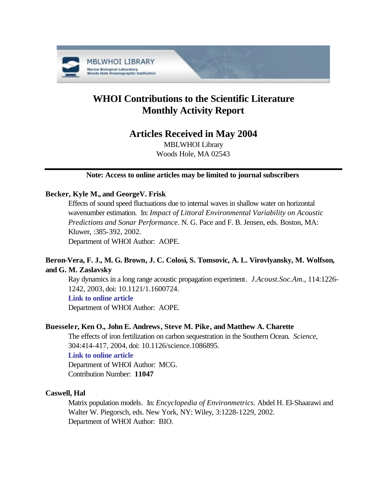

# **WHOI Contributions to the Scientific Literature Monthly Activity Report**

## **Articles Received in May 2004**

MBLWHOI Library Woods Hole, MA 02543

## **Note: Access to online articles may be limited to journal subscribers**

## **Becker, Kyle M., and GeorgeV. Frisk**

Effects of sound speed fluctuations due to internal waves in shallow water on horizontal wavenumber estimation. In: *Impact of Littoral Environmental Variability on Acoustic Predictions and Sonar Performance*. N. G. Pace and F. B. Jensen, eds. Boston, MA: Kluwer, :385-392, 2002.

Department of WHOI Author: AOPE.

## **Beron-Vera, F. J., M. G. Brown, J. C. Colosi, S. Tomsovic, A. L. Virovlyansky, M. Wolfson, and G. M. Zaslavsky**

Ray dynamics in a long range acoustic propagation experiment. *J.Acoust.Soc.Am.*, 114:1226- 1242, 2003, doi: 10.1121/1.1600724.

## **[Link to online article](http://dx.doi.org/10.1121/1.1600724)**

Department of WHOI Author: AOPE.

## **Buesseler, Ken O., John E. Andrews, Steve M. Pike, and Matthew A. Charette**

The effects of iron fertilization on carbon sequestration in the Southern Ocean. *Science*, 304:414-417, 2004, doi: 10.1126/science.1086895.

## **[Link to online article](http://dx.doi.org/10.1126/science.1086895)**

Department of WHOI Author: MCG. Contribution Number: **11047**

## **Caswell, Hal**

Matrix population models. In: *Encyclopedia of Environmetrics.* Abdel H. El-Shaarawi and Walter W. Piegorsch, eds. New York, NY: Wiley, 3:1228-1229, 2002. Department of WHOI Author: BIO.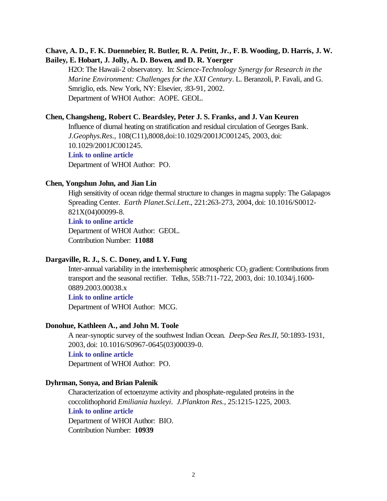## **Chave, A. D., F. K. Duennebier, R. Butler, R. A. Petitt, Jr., F. B. Wooding, D. Harris, J. W. Bailey, E. Hobart, J. Jolly, A. D. Bowen, and D. R. Yoerger**

H2O: The Hawaii-2 observatory. In: *Science-Technology Synergy for Research in the Marine Environment: Challenges for the XXI Century*. L. Beranzoli, P. Favali, and G. Smriglio, eds. New York, NY: Elsevier, :83-91, 2002. Department of WHOI Author: AOPE. GEOL.

#### **Chen, Changsheng, Robert C. Beardsley, Peter J. S. Franks, and J. Van Keuren**

Influence of diurnal heating on stratification and residual circulation of Georges Bank. *J.Geophys.Res.*, 108(C11),8008,doi:10.1029/2001JC001245, 2003, doi: 10.1029/2001JC001245. **[Link to online article](http://dx.doi.org/10.1029/2001JC001245)** Department of WHOI Author: PO.

#### **Chen, Yongshun John, and Jian Lin**

High sensitivity of ocean ridge thermal structure to changes in magma supply: The Galapagos Spreading Center. *Earth Planet.Sci.Lett.*, 221:263-273, 2004, doi: 10.1016/S0012- 821X(04)00099-8.

**[Link to online article](http://dx.doi.org/10.1016/S0012-821X(04)00099-8)**

Department of WHOI Author: GEOL. Contribution Number: **11088**

#### **Dargaville, R. J., S. C. Doney, and I. Y. Fung**

Inter-annual variability in the interhemispheric atmospheric  $CO<sub>2</sub>$  gradient: Contributions from transport and the seasonal rectifier. Tellus, 55B:711-722, 2003, doi: 10.1034/j.1600- 0889.2003.00038.x

## **[Link to online article](http://dx.doi.org/ 10.1034/j.1600-0889.2003.00038.x)**

Department of WHOI Author: MCG.

#### **Donohue, Kathleen A., and John M. Toole**

A near-synoptic survey of the southwest Indian Ocean. *Deep-Sea Res.II*, 50:1893-1931, 2003, doi: 10.1016/S0967-0645(03)00039-0. **[Link to online article](http://dx.doi.org/10.1016/S0967-0645(03)00039-0)** Department of WHOI Author: PO.

#### **Dyhrman, Sonya, and Brian Palenik**

Characterization of ectoenzyme activity and phosphate-regulated proteins in the coccolithophorid *Emiliania huxleyi*. *J.Plankton Res.*, 25:1215-1225, 2003. **[Link to online article](http://plankt.oupjournals.org/cgi/reprint/25/10/1215.pdf)** Department of WHOI Author: BIO.

Contribution Number: **10939**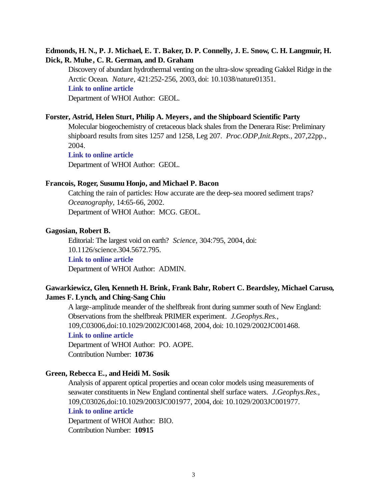## **Edmonds, H. N., P. J. Michael, E. T. Baker, D. P. Connelly, J. E. Snow, C. H. Langmuir, H. Dick, R. Muhe, C. R. German, and D. Graham**

Discovery of abundant hydrothermal venting on the ultra-slow spreading Gakkel Ridge in the Arctic Ocean. *Nature*, 421:252-256, 2003, doi: 10.1038/nature01351. **[Link to online article](http://dx.doi.org/10.1038/nature01351)**

Department of WHOI Author: GEOL.

#### **Forster, Astrid, Helen Sturt, Philip A. Meyers, and the Shipboard Scientific Party**

Molecular biogeochemistry of cretaceous black shales from the Denerara Rise: Preliminary shipboard results from sites 1257 and 1258, Leg 207. *Proc.ODP,Init.Repts.*, 207,22pp., 2004.

**[Link to online article](http://www-odp.tamu.edu/publications/207_IR/VOLUME/CHAPTERS/IR207_10.PDF)** Department of WHOI Author: GEOL.

#### **Francois, Roger, Susumu Honjo, and Michael P. Bacon**

Catching the rain of particles: How accurate are the deep-sea moored sediment traps? *Oceanography*, 14:65-66, 2002. Department of WHOI Author: MCG. GEOL.

#### **Gagosian, Robert B.**

Editorial: The largest void on earth? *Science*, 304:795, 2004, doi: 10.1126/science.304.5672.795. **[Link to online article](http://dx.doi.org/10.1126/science.304.5672.795)** Department of WHOI Author: ADMIN.

## **Gawarkiewicz, Glen, Kenneth H. Brink, Frank Bahr, Robert C. Beardsley, Michael Caruso, James F. Lynch, and Ching-Sang Chiu**

A large-amplitude meander of the shelfbreak front during summer south of New England: Observations from the shelfbreak PRIMER experiment. *J.Geophys.Res.*, 109,C03006,doi:10.1029/2002JC001468, 2004, doi: 10.1029/2002JC001468. **[Link to online article](http://dx.doi.org/10.1029/2002JC001468)** Department of WHOI Author: PO. AOPE. Contribution Number: **10736**

## **Green, Rebecca E., and Heidi M. Sosik**

Analysis of apparent optical properties and ocean color models using measurements of seawater constituents in New England continental shelf surface waters. *J.Geophys.Res.*, 109,C03026,doi:10.1029/2003JC001977, 2004, doi: 10.1029/2003JC001977. **[Link to online article](http://dx.doi.org/10.1029/2003JC001977)** Department of WHOI Author: BIO. Contribution Number: **10915**

3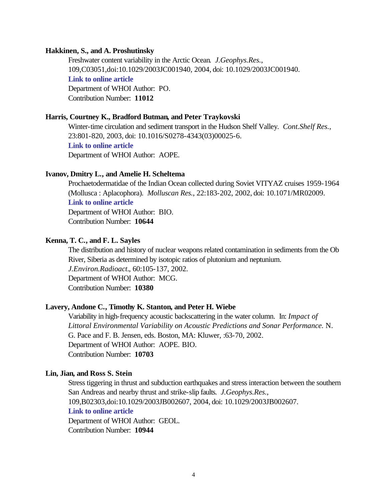#### **Hakkinen, S., and A. Proshutinsky**

Freshwater content variability in the Arctic Ocean. *J.Geophys.Res.*, 109,C03051,doi:10.1029/2003JC001940, 2004, doi: 10.1029/2003JC001940. **[Link to online article](http://dx.doi.org/10.1029/2003JC001940)** Department of WHOI Author: PO. Contribution Number: **11012**

#### **Harris, Courtney K., Bradford Butman, and Peter Traykovski**

Winter-time circulation and sediment transport in the Hudson Shelf Valley. *Cont.Shelf Res.*, 23:801-820, 2003, doi: 10.1016/S0278-4343(03)00025-6.

**[Link to online article](http://dx.doi.org/10.1016/S0278-4343(03)00025-6)**

Department of WHOI Author: AOPE.

#### **Ivanov, Dmitry L., and Amelie H. Scheltema**

Prochaetodermatidae of the Indian Ocean collected during Soviet VITYAZ cruises 1959-1964 (Mollusca : Aplacophora). *Molluscan Res.*, 22:183-202, 2002, doi: 10.1071/MR02009. **[Link to online article](http://dx.doi.org/10.1071/MR02009)**

Department of WHOI Author: BIO. Contribution Number: **10644**

## **Kenna, T. C., and F. L. Sayles**

The distribution and history of nuclear weapons related contamination in sediments from the Ob River, Siberia as determined by isotopic ratios of plutonium and neptunium. *J.Environ.Radioact.*, 60:105-137, 2002. Department of WHOI Author: MCG. Contribution Number: **10380**

#### **Lavery, Andone C., Timothy K. Stanton, and Peter H. Wiebe**

Variability in high-frequency acoustic backscattering in the water column. In: *Impact of Littoral Environmental Variability on Acoustic Predictions and Sonar Performance.* N. G. Pace and F. B. Jensen, eds. Boston, MA: Kluwer, :63-70, 2002. Department of WHOI Author: AOPE. BIO. Contribution Number: **10703**

## **Lin, Jian, and Ross S. Stein**

Stress tiggering in thrust and subduction earthquakes and stress interaction between the southern San Andreas and nearby thrust and strike-slip faults. *J.Geophys.Res.*, 109,B02303,doi:10.1029/2003JB002607, 2004, doi: 10.1029/2003JB002607. **[Link to online article](http://dx.doi.org/10.1029/2003JB002607)** Department of WHOI Author: GEOL. Contribution Number: **10944**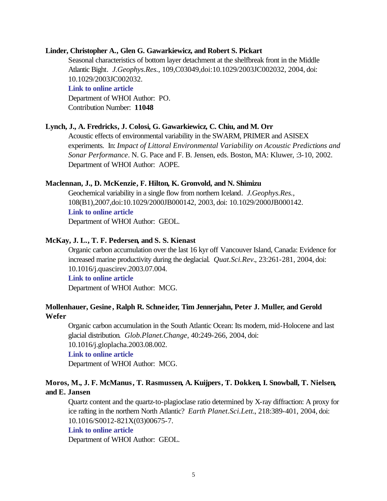#### **Linder, Christopher A., Glen G. Gawarkiewicz, and Robert S. Pickart**

Seasonal characteristics of bottom layer detachment at the shelfbreak front in the Middle Atlantic Bight. *J.Geophys.Res.*, 109,C03049,doi:10.1029/2003JC002032, 2004, doi: 10.1029/2003JC002032.

#### **[Link to online article](http://dx.doi.org/10.1029/2003JC002032)**

Department of WHOI Author: PO. Contribution Number: **11048**

#### **Lynch, J., A. Fredricks, J. Colosi, G. Gawarkiewicz, C. Chiu, and M. Orr**

Acoustic effects of environmental variability in the SWARM, PRIMER and ASISEX experiments. In: *Impact of Littoral Environmental Variability on Acoustic Predictions and Sonar Performance*. N. G. Pace and F. B. Jensen, eds. Boston, MA: Kluwer, :3-10, 2002. Department of WHOI Author: AOPE.

#### **Maclennan, J., D. McKenzie, F. Hilton, K. Gronvold, and N. Shimizu**

Geochemical variability in a single flow from northern Iceland. *J.Geophys.Res.*, 108(B1),2007,doi:10.1029/2000JB000142, 2003, doi: 10.1029/2000JB000142. **[Link to online article](http://dx.doi.org/10.1029/2000JB000142)** Department of WHOI Author: GEOL.

#### **McKay, J. L., T. F. Pedersen, and S. S. Kienast**

Organic carbon accumulation over the last 16 kyr off Vancouver Island, Canada: Evidence for increased marine productivity during the deglacial. *Quat.Sci.Rev.*, 23:261-281, 2004, doi: 10.1016/j.quascirev.2003.07.004.

## **[Link to online article](http://dx.doi.org/10.1016/j.quascirev.2003.07.004)**

Department of WHOI Author: MCG.

## **Mollenhauer, Gesine , Ralph R. Schneider, Tim Jennerjahn, Peter J. Muller, and Gerold Wefer**

Organic carbon accumulation in the South Atlantic Ocean: Its modern, mid-Holocene and last glacial distribution. *Glob.Planet.Change*, 40:249-266, 2004, doi: 10.1016/j.gloplacha.2003.08.002.

## **[Link to online article](http://dx.doi.org/10.1016/j.gloplacha.2003.08.002)**

Department of WHOI Author: MCG.

## **Moros, M., J. F. McManus, T. Rasmussen, A. Kuijpers, T. Dokken, I. Snowball, T. Nielsen, and E. Jansen**

Quartz content and the quartz-to-plagioclase ratio determined by X-ray diffraction: A proxy for ice rafting in the northern North Atlantic? *Earth Planet.Sci.Lett.*, 218:389-401, 2004, doi: 10.1016/S0012-821X(03)00675-7.

#### **[Link to online article](http://dx.doi.org/10.1016/S0012-821X(03)00675-7)**

Department of WHOI Author: GEOL.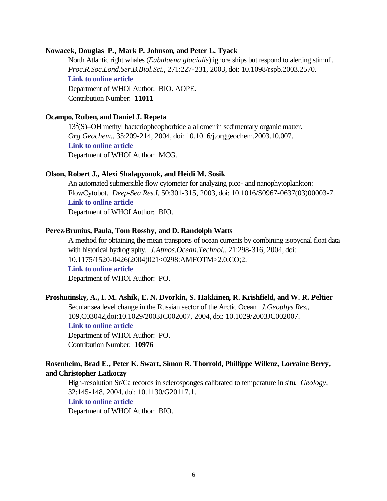#### **Nowacek, Douglas P., Mark P. Johnson, and Peter L. Tyack**

North Atlantic right whales (*Eubalaena glacialis*) ignore ships but respond to alerting stimuli. *Proc.R.Soc.Lond.Ser.B.Biol.Sci.*, 271:227-231, 2003, doi: 10.1098/rspb.2003.2570. **[Link to online article](http://dx.doi.org/10.1098/rspb.2003.2570)** Department of WHOI Author: BIO. AOPE. Contribution Number: **11011**

#### **Ocampo, Ruben, and Daniel J. Repeta**

13<sup>2</sup>(S)–OH methyl bacteriopheophorbide a allomer in sedimentary organic matter. *Org.Geochem.*, 35:209-214, 2004, doi: 10.1016/j.orggeochem.2003.10.007. **[Link to online article](http://dx.doi.org/10.1016/j.orggeochem.2003.10.007)** Department of WHOI Author: MCG.

#### **Olson, Robert J., Alexi Shalapyonok, and Heidi M. Sosik**

An automated submersible flow cytometer for analyzing pico- and nanophytoplankton: FlowCytobot. *Deep-Sea Res.I*, 50:301-315, 2003, doi: 10.1016/S0967-0637(03)00003-7. **[Link to online article](http://dx.doi.org/10.1016/S0967-0637(03)00003-7)** Department of WHOI Author: BIO.

#### **Perez-Brunius, Paula, Tom Rossby, and D. Randolph Watts**

A method for obtaining the mean transports of ocean currents by combining isopycnal float data with historical hydrography. *J.Atmos.Ocean.Technol.*, 21:298-316, 2004, doi: 10.1175/1520-0426(2004)021<0298:AMFOTM>2.0.CO;2. **[Link to online article](http://dx.doi.org/10.1175/1520-0426(2004)021<0298:AMFOTM>2.0.CO;2)** Department of WHOI Author: PO.

#### **Proshutinsky, A., I. M. Ashik, E. N. Dvorkin, S. Hakkinen, R. Krishfield, and W. R. Peltier**

Secular sea level change in the Russian sector of the Arctic Ocean. *J.Geophys.Res.*, 109,C03042,doi:10.1029/2003JC002007, 2004, doi: 10.1029/2003JC002007. **[Link to online article](http://dx.doi.org/10.1029/2003JC002007)** Department of WHOI Author: PO. Contribution Number: **10976**

## **Rosenheim, Brad E., Peter K. Swart, Simon R. Thorrold, Phillippe Willenz, Lorraine Berry, and Christopher Latkoczy**

High-resolution Sr/Ca records in sclerosponges calibrated to temperature in situ. *Geology*, 32:145-148, 2004, doi: 10.1130/G20117.1.

### **[Link to online article](http://dx.doi.org/10.1130/G20117.1)**

Department of WHOI Author: BIO.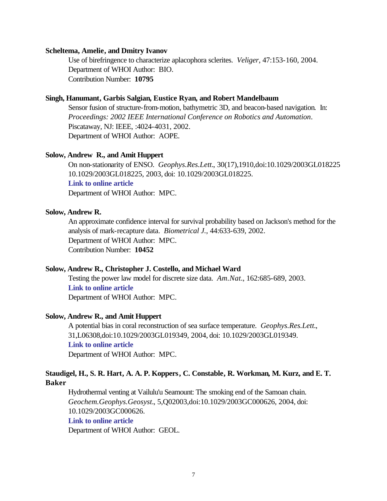#### **Scheltema, Amelie, and Dmitry Ivanov**

Use of birefringence to characterize aplacophora sclerites. *Veliger*, 47:153-160, 2004. Department of WHOI Author: BIO. Contribution Number: **10795**

#### **Singh, Hanumant, Garbis Salgian, Eustice Ryan, and Robert Mandelbaum**

Sensor fusion of structure-from-motion, bathymetric 3D, and beacon-based navigation. In: *Proceedings: 2002 IEEE International Conference on Robotics and Automation*. Piscataway, NJ: IEEE, :4024-4031, 2002. Department of WHOI Author: AOPE.

#### **Solow, Andrew R., and Amit Huppert**

On non-stationarity of ENSO. *Geophys.Res.Lett.*, 30(17),1910,doi:10.1029/2003GL018225 10.1029/2003GL018225, 2003, doi: 10.1029/2003GL018225. **[Link to online article](http://dx.doi.org/10.1029/2003GL018225)**

Department of WHOI Author: MPC.

#### **Solow, Andrew R.**

An approximate confidence interval for survival probability based on Jackson's method for the analysis of mark-recapture data. *Biometrical J.*, 44:633-639, 2002. Department of WHOI Author: MPC. Contribution Number: **10452**

#### **Solow, Andrew R., Christopher J. Costello, and Michael Ward**

Testing the power law model for discrete size data. *Am.Nat.*, 162:685-689, 2003. **[Link to online article](http://www.journals.uchicago.edu/AN/journal/issues/v162n5/20197/20197.web.pdf)** Department of WHOI Author: MPC.

#### **Solow, Andrew R., and Amit Huppert**

A potential bias in coral reconstruction of sea surface temperature. *Geophys.Res.Lett.*, 31,L06308,doi:10.1029/2003GL019349, 2004, doi: 10.1029/2003GL019349. **[Link to online article](http://dx.doi.org/10.1029/2003GL019349)** Department of WHOI Author: MPC.

## **Staudigel, H., S. R. Hart, A. A. P. Koppers, C. Constable, R. Workman, M. Kurz, and E. T. Baker**

Hydrothermal venting at Vailulu'u Seamount: The smoking end of the Samoan chain. *Geochem.Geophys.Geosyst.*, 5,Q02003,doi:10.1029/2003GC000626, 2004, doi: 10.1029/2003GC000626.

## **[Link to online article](http://dx.doi.org/10.1029/2003GC000626)**

Department of WHOI Author: GEOL.